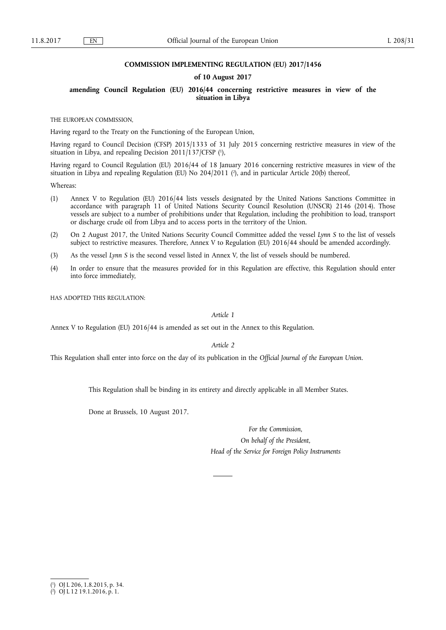## **COMMISSION IMPLEMENTING REGULATION (EU) 2017/1456**

# **of 10 August 2017**

# **amending Council Regulation (EU) 2016/44 concerning restrictive measures in view of the situation in Libya**

THE EUROPEAN COMMISSION,

Having regard to the Treaty on the Functioning of the European Union,

Having regard to Council Decision (CFSP) 2015/1333 of 31 July 2015 concerning restrictive measures in view of the situation in Libya, and repealing Decision 2011/137/CFSP (<sup>1</sup>),

Having regard to Council Regulation (EU) 2016/44 of 18 January 2016 concerning restrictive measures in view of the situation in Libya and repealing Regulation (EU) No 204/2011 (<sup>2</sup>), and in particular Article 20(b) thereof,

Whereas:

- (1) Annex V to Regulation (EU) 2016/44 lists vessels designated by the United Nations Sanctions Committee in accordance with paragraph 11 of United Nations Security Council Resolution (UNSCR) 2146 (2014). Those vessels are subject to a number of prohibitions under that Regulation, including the prohibition to load, transport or discharge crude oil from Libya and to access ports in the territory of the Union.
- (2) On 2 August 2017, the United Nations Security Council Committee added the vessel *Lynn S* to the list of vessels subject to restrictive measures. Therefore, Annex V to Regulation (EU) 2016/44 should be amended accordingly.
- (3) As the vessel *Lynn S* is the second vessel listed in Annex V, the list of vessels should be numbered.
- (4) In order to ensure that the measures provided for in this Regulation are effective, this Regulation should enter into force immediately,

HAS ADOPTED THIS REGULATION:

*Article 1* 

Annex V to Regulation (EU) 2016/44 is amended as set out in the Annex to this Regulation.

*Article 2* 

This Regulation shall enter into force on the day of its publication in the *Official Journal of the European Union*.

This Regulation shall be binding in its entirety and directly applicable in all Member States.

Done at Brussels, 10 August 2017.

*For the Commission, On behalf of the President, Head of the Service for Foreign Policy Instruments* 

<sup>(</sup> 1 ) OJ L 206, 1.8.2015, p. 34.

<sup>(</sup> 2 ) OJ L 12 19.1.2016, p. 1.